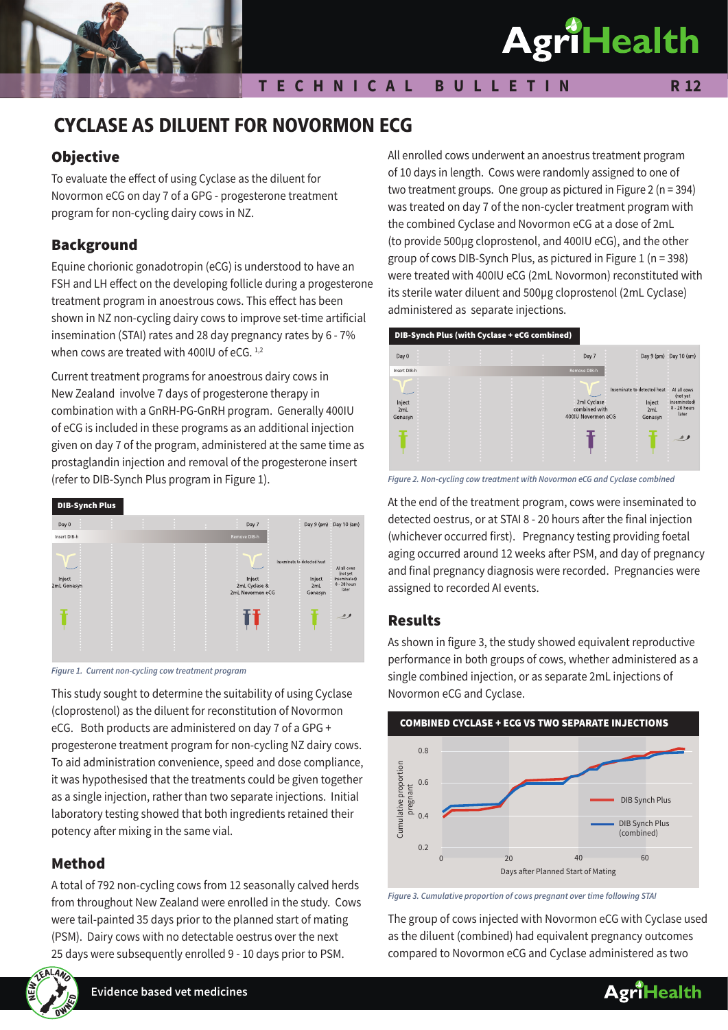

# **T E C H N I C A L B U L L E T I N**

#### **R 12**

# CYCLASE AS DILUENT FOR NOVORMON ECG

# **Objective**

To evaluate the effect of using Cyclase as the diluent for Novormon eCG on day 7 of a GPG - progesterone treatment program for non-cycling dairy cows in NZ.

# Background

Equine chorionic gonadotropin (eCG) is understood to have an FSH and LH effect on the developing follicle during a progesterone treatment program in anoestrous cows. This effect has been shown in NZ non-cycling dairy cows to improve set-time artificial insemination (STAI) rates and 28 day pregnancy rates by 6 - 7% when cows are treated with 400IU of eCG. 1,2

Current treatment programs for anoestrous dairy cows in New Zealand involve 7 days of progesterone therapy in combination with a GnRH-PG-GnRH program. Generally 400IU of eCG is included in these programs as an additional injection given on day 7 of the program, administered at the same time as prostaglandin injection and removal of the progesterone insert (refer to DIB-Synch Plus program in Figure 1).



*Figure 1. Current non-cycling cow treatment program*

This study sought to determine the suitability of using Cyclase (cloprostenol) as the diluent for reconstitution of Novormon eCG. Both products are administered on day 7 of a GPG + progesterone treatment program for non-cycling NZ dairy cows. To aid administration convenience, speed and dose compliance, it was hypothesised that the treatments could be given together as a single injection, rather than two separate injections. Initial laboratory testing showed that both ingredients retained their potency after mixing in the same vial.

# Method

A total of 792 non-cycling cows from 12 seasonally calved herds from throughout New Zealand were enrolled in the study. Cows were tail-painted 35 days prior to the planned start of mating (PSM). Dairy cows with no detectable oestrus over the next 25 days were subsequently enrolled 9 - 10 days prior to PSM.



**Evidence based vet medicines**

All enrolled cows underwent an anoestrus treatment program of 10 days in length. Cows were randomly assigned to one of two treatment groups. One group as pictured in Figure 2 (n = 394) was treated on day 7 of the non-cycler treatment program with the combined Cyclase and Novormon eCG at a dose of 2mL (to provide 500µg cloprostenol, and 400IU eCG), and the other group of cows DIB-Synch Plus, as pictured in Figure 1 (n = 398) were treated with 400IU eCG (2mL Novormon) reconstituted with its sterile water diluent and 500µg cloprostenol (2mL Cyclase) administered as separate injections.





At the end of the treatment program, cows were inseminated to detected oestrus, or at STAI 8 - 20 hours after the final injection (whichever occurred first). Pregnancy testing providing foetal aging occurred around 12 weeks after PSM, and day of pregnancy and final pregnancy diagnosis were recorded. Pregnancies were assigned to recorded AI events.

#### Results

As shown in figure 3, the study showed equivalent reproductive performance in both groups of cows, whether administered as a single combined injection, or as separate 2mL injections of Novormon eCG and Cyclase.



*Figure 3. Cumulative proportion of cows pregnant over time following STAI*

The group of cows injected with Novormon eCG with Cyclase used as the diluent (combined) had equivalent pregnancy outcomes compared to Novormon eCG and Cyclase administered as two